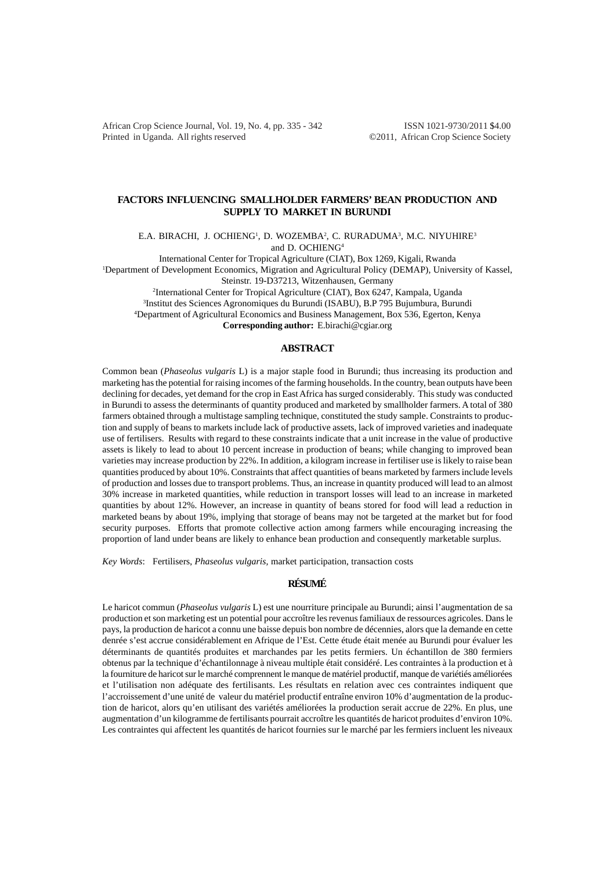African Crop Science Journal, Vol. 19, No. 4, pp. 335 - 342 ISSN 1021-9730/2011 \$4.00 Printed in Uganda. All rights reserved ©2011, African Crop Science Society

## **FACTORS INFLUENCING SMALLHOLDER FARMERS' BEAN PRODUCTION AND SUPPLY TO MARKET IN BURUNDI**

E.A. BIRACHI, J. OCHIENG<sup>1</sup>, D. WOZEMBA<sup>2</sup>, C. RURADUMA<sup>3</sup>, M.C. NIYUHIRE<sup>3</sup>

and D. OCHIENG4

International Center for Tropical Agriculture (CIAT), Box 1269, Kigali, Rwanda

1 Department of Development Economics, Migration and Agricultural Policy (DEMAP), University of Kassel, Steinstr. 19-D37213, Witzenhausen, Germany

2 International Center for Tropical Agriculture (CIAT), Box 6247, Kampala, Uganda

3 Institut des Sciences Agronomiques du Burundi (ISABU), B.P 795 Bujumbura, Burundi

4 Department of Agricultural Economics and Business Management, Box 536, Egerton, Kenya

**Corresponding author:** E.birachi@cgiar.org

## **ABSTRACT**

Common bean (*Phaseolus vulgaris* L) is a major staple food in Burundi; thus increasing its production and marketing has the potential for raising incomes of the farming households. In the country, bean outputs have been declining for decades, yet demand for the crop in East Africa has surged considerably. This study was conducted in Burundi to assess the determinants of quantity produced and marketed by smallholder farmers. A total of 380 farmers obtained through a multistage sampling technique, constituted the study sample. Constraints to production and supply of beans to markets include lack of productive assets, lack of improved varieties and inadequate use of fertilisers. Results with regard to these constraints indicate that a unit increase in the value of productive assets is likely to lead to about 10 percent increase in production of beans; while changing to improved bean varieties may increase production by 22%. In addition, a kilogram increase in fertiliser use is likely to raise bean quantities produced by about 10%. Constraints that affect quantities of beans marketed by farmers include levels of production and losses due to transport problems. Thus, an increase in quantity produced will lead to an almost 30% increase in marketed quantities, while reduction in transport losses will lead to an increase in marketed quantities by about 12%. However, an increase in quantity of beans stored for food will lead a reduction in marketed beans by about 19%, implying that storage of beans may not be targeted at the market but for food security purposes. Efforts that promote collective action among farmers while encouraging increasing the proportion of land under beans are likely to enhance bean production and consequently marketable surplus.

*Key Words*: Fertilisers, *Phaseolus vulgaris,* market participation, transaction costs

# **RÉSUMÉ**

Le haricot commun (*Phaseolus vulgaris* L) est une nourriture principale au Burundi; ainsi l'augmentation de sa production et son marketing est un potential pour accroître les revenus familiaux de ressources agricoles. Dans le pays, la production de haricot a connu une baisse depuis bon nombre de décennies, alors que la demande en cette denrée s'est accrue considérablement en Afrique de l'Est. Cette étude était menée au Burundi pour évaluer les déterminants de quantités produites et marchandes par les petits fermiers. Un échantillon de 380 fermiers obtenus par la technique d'échantilonnage à niveau multiple était considéré. Les contraintes à la production et à la fourniture de haricot sur le marché comprennent le manque de matériel productif, manque de variétiés améliorées et l'utilisation non adéquate des fertilisants. Les résultats en relation avec ces contraintes indiquent que l'accroissement d'une unité de valeur du matériel productif entraîne environ 10% d'augmentation de la production de haricot, alors qu'en utilisant des variétés améliorées la production serait accrue de 22%. En plus, une augmentation d'un kilogramme de fertilisants pourrait accroître les quantités de haricot produites d'environ 10%. Les contraintes qui affectent les quantités de haricot fournies sur le marché par les fermiers incluent les niveaux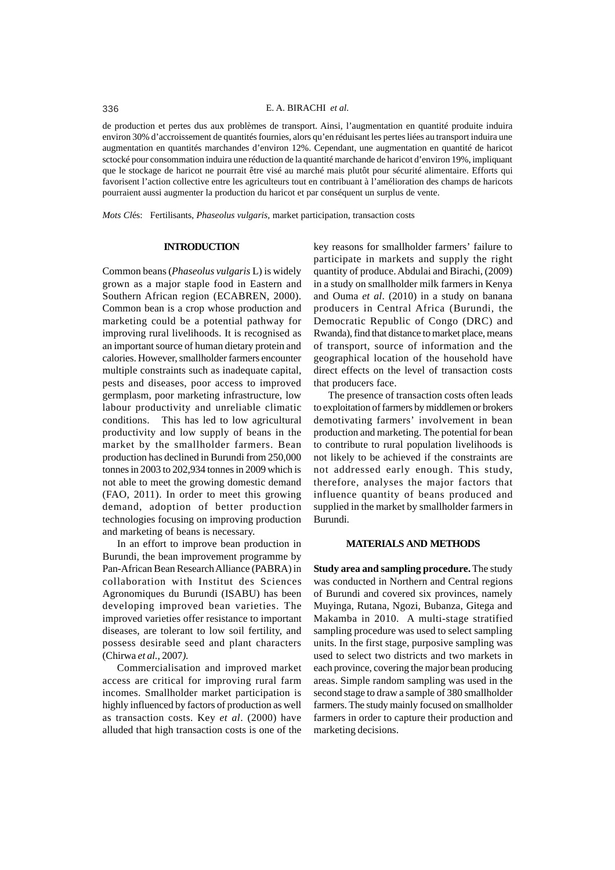de production et pertes dus aux problèmes de transport. Ainsi, l'augmentation en quantité produite induira environ 30% d'accroissement de quantités fournies, alors qu'en réduisant les pertes liées au transport induira une augmentation en quantités marchandes d'environ 12%. Cependant, une augmentation en quantité de haricot sctocké pour consommation induira une réduction de la quantité marchande de haricot d'environ 19%, impliquant que le stockage de haricot ne pourrait être visé au marché mais plutôt pour sécurité alimentaire. Efforts qui favorisent l'action collective entre les agriculteurs tout en contribuant à l'amélioration des champs de haricots pourraient aussi augmenter la production du haricot et par conséquent un surplus de vente.

*Mots Cl*és: Fertilisants, *Phaseolus vulgaris,* market participation, transaction costs

### **INTRODUCTION**

Common beans (*Phaseolus vulgaris* L) is widely grown as a major staple food in Eastern and Southern African region (ECABREN, 2000). Common bean is a crop whose production and marketing could be a potential pathway for improving rural livelihoods. It is recognised as an important source of human dietary protein and calories. However, smallholder farmers encounter multiple constraints such as inadequate capital, pests and diseases, poor access to improved germplasm, poor marketing infrastructure, low labour productivity and unreliable climatic conditions. This has led to low agricultural productivity and low supply of beans in the market by the smallholder farmers. Bean production has declined in Burundi from 250,000 tonnes in 2003 to 202,934 tonnes in 2009 which is not able to meet the growing domestic demand (FAO, 2011). In order to meet this growing demand, adoption of better production technologies focusing on improving production and marketing of beans is necessary.

In an effort to improve bean production in Burundi, the bean improvement programme by Pan-African Bean Research Alliance (PABRA) in collaboration with Institut des Sciences Agronomiques du Burundi (ISABU) has been developing improved bean varieties. The improved varieties offer resistance to important diseases, are tolerant to low soil fertility, and possess desirable seed and plant characters (Chirwa *et al.,* 2007*)*.

Commercialisation and improved market access are critical for improving rural farm incomes. Smallholder market participation is highly influenced by factors of production as well as transaction costs. Key *et al*. (2000) have alluded that high transaction costs is one of the

key reasons for smallholder farmers' failure to participate in markets and supply the right quantity of produce. Abdulai and Birachi, (2009) in a study on smallholder milk farmers in Kenya and Ouma *et al*. (2010) in a study on banana producers in Central Africa (Burundi, the Democratic Republic of Congo (DRC) and Rwanda), find that distance to market place, means of transport, source of information and the geographical location of the household have direct effects on the level of transaction costs that producers face.

The presence of transaction costs often leads to exploitation of farmers by middlemen or brokers demotivating farmers' involvement in bean production and marketing. The potential for bean to contribute to rural population livelihoods is not likely to be achieved if the constraints are not addressed early enough. This study, therefore, analyses the major factors that influence quantity of beans produced and supplied in the market by smallholder farmers in Burundi.

#### **MATERIALS AND METHODS**

**Study area and sampling procedure.** The study was conducted in Northern and Central regions of Burundi and covered six provinces, namely Muyinga, Rutana, Ngozi, Bubanza, Gitega and Makamba in 2010. A multi-stage stratified sampling procedure was used to select sampling units. In the first stage, purposive sampling was used to select two districts and two markets in each province, covering the major bean producing areas. Simple random sampling was used in the second stage to draw a sample of 380 smallholder farmers. The study mainly focused on smallholder farmers in order to capture their production and marketing decisions.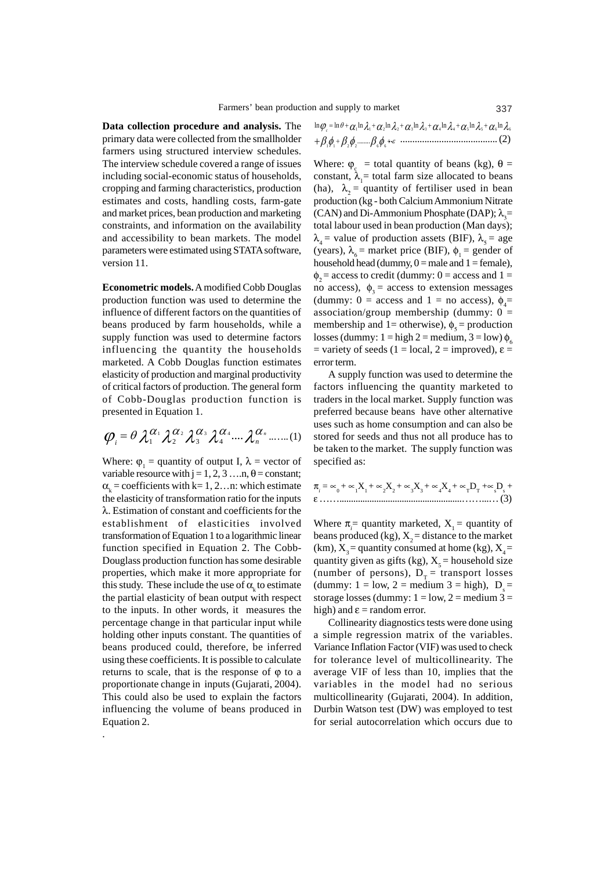**Data collection procedure and analysis.** The primary data were collected from the smallholder farmers using structured interview schedules. The interview schedule covered a range of issues including social-economic status of households, cropping and farming characteristics, production estimates and costs, handling costs, farm-gate and market prices, bean production and marketing constraints, and information on the availability and accessibility to bean markets. The model parameters were estimated using STATA software, version 11.

**Econometric models.** A modified Cobb Douglas production function was used to determine the influence of different factors on the quantities of beans produced by farm households, while a supply function was used to determine factors influencing the quantity the households marketed. A Cobb Douglas function estimates elasticity of production and marginal productivity of critical factors of production. The general form of Cobb-Douglas production function is presented in Equation 1.

$$
\boldsymbol{\varphi}_i = \theta \lambda_1^{\alpha_1} \lambda_2^{\alpha_2} \lambda_3^{\alpha_3} \lambda_4^{\alpha_4} \cdots \lambda_n^{\alpha_n} \cdots (1)
$$

Where:  $\varphi_1$  = quantity of output I,  $\lambda$  = vector of variable resource with  $j = 1, 2, 3, \ldots n$ ,  $\theta = constant$ ;  $\alpha_k$  = coefficients with k= 1, 2...n: which estimate the elasticity of transformation ratio for the inputs λ. Estimation of constant and coefficients for the establishment of elasticities involved transformation of Equation 1 to a logarithmic linear function specified in Equation 2. The Cobb-Douglass production function has some desirable properties, which make it more appropriate for this study. These include the use of  $\alpha_k$  to estimate the partial elasticity of bean output with respect to the inputs. In other words, it measures the percentage change in that particular input while holding other inputs constant. The quantities of beans produced could, therefore, be inferred using these coefficients. It is possible to calculate returns to scale, that is the response of  $\varphi$  to a proportionate change in inputs (Gujarati, 2004). This could also be used to explain the factors influencing the volume of beans produced in Equation 2.

.

$$
\ln \varphi_c = \ln \theta + \alpha_1 \ln \lambda_1 + \alpha_2 \ln \lambda_2 + \alpha_3 \ln \lambda_3 + \alpha_4 \ln \lambda_4 + \alpha_5 \ln \lambda_5 + \alpha_6 \ln \lambda_6
$$

.. ........................................ (2) ε φβφβφβ + + + <sup>2211</sup> <sup>66</sup> ........

Where:  $\varphi_c$  = total quantity of beans (kg),  $\theta =$ constant,  $\lambda_1$  = total farm size allocated to beans (ha),  $\lambda_2$  = quantity of fertiliser used in bean production (kg - both Calcium Ammonium Nitrate (CAN) and Di-Ammonium Phosphate (DAP);  $\lambda$ <sub>3</sub>= total labour used in bean production (Man days);  $\lambda_4$  = value of production assets (BIF),  $\lambda_5$  = age (years),  $\lambda_{6}$  = market price (BIF),  $\phi_{1}$  = gender of household head (dummy,  $0 =$  male and  $1 =$  female),  $\phi_2$  = access to credit (dummy: 0 = access and 1 = no access),  $\phi_3$  = access to extension messages (dummy:  $0 =$  access and  $1 =$  no access),  $\phi_4 =$ association/group membership (dummy:  $0 =$ membership and 1= otherwise),  $\phi_s$  = production losses (dummy:  $1 = high 2 = medium, 3 = low$ )  $\phi_6$ = variety of seeds (1 = local, 2 = improved),  $\varepsilon$  = error term.

A supply function was used to determine the factors influencing the quantity marketed to traders in the local market. Supply function was preferred because beans have other alternative uses such as home consumption and can also be stored for seeds and thus not all produce has to be taken to the market. The supply function was specified as:

$$
\pi_i = \infty_0 + \infty_1 X_1 + \infty_2 X_2 + \infty_3 X_3 + \infty_4 X_4 + \infty_7 D_7 + \infty_8 D_8 + \varepsilon
$$
.................(3)

Where  $\pi_i$  = quantity marketed,  $X_i$  = quantity of beans produced (kg),  $X_2$  = distance to the market (km),  $X_0$  = quantity consumed at home (kg),  $X_4$  = quantity given as gifts (kg),  $X<sub>s</sub>$  = household size (number of persons),  $D<sub>r</sub> =$  transport losses (dummy:  $1 = \text{low}, 2 = \text{medium } 3 = \text{high}, D = \text{time}$ ) storage losses (dummy:  $1 = low$ ,  $2 = medium$ )  $3 =$ high) and  $\varepsilon$  = random error.

Collinearity diagnostics tests were done using a simple regression matrix of the variables. Variance Inflation Factor (VIF) was used to check for tolerance level of multicollinearity. The average VIF of less than 10, implies that the variables in the model had no serious multicollinearity (Gujarati, 2004). In addition, Durbin Watson test (DW) was employed to test for serial autocorrelation which occurs due to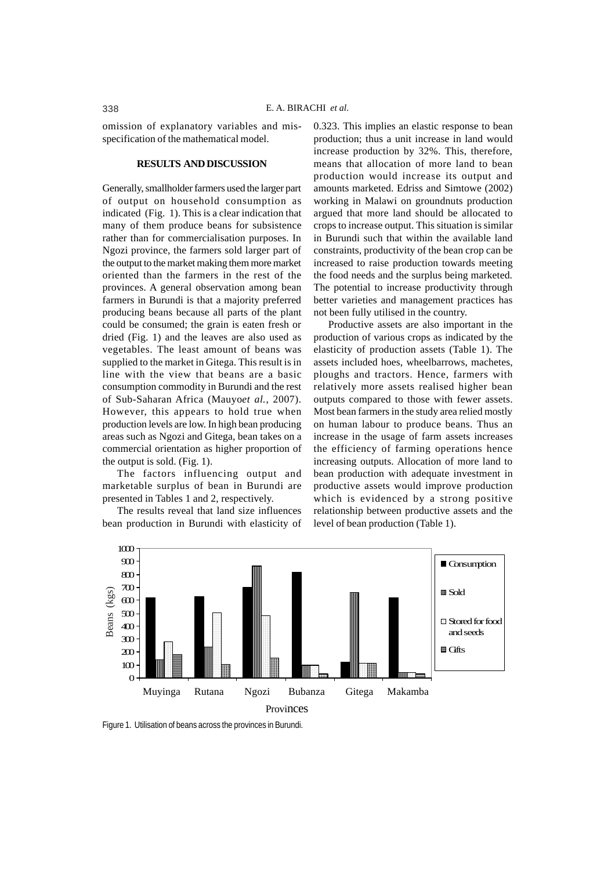omission of explanatory variables and misspecification of the mathematical model.

## **RESULTS AND DISCUSSION**

Generally, smallholder farmers used the larger part of output on household consumption as indicated (Fig. 1). This is a clear indication that many of them produce beans for subsistence rather than for commercialisation purposes. In Ngozi province, the farmers sold larger part of the output to the market making them more market oriented than the farmers in the rest of the provinces. A general observation among bean farmers in Burundi is that a majority preferred producing beans because all parts of the plant could be consumed; the grain is eaten fresh or dried (Fig. 1) and the leaves are also used as vegetables. The least amount of beans was supplied to the market in Gitega. This result is in line with the view that beans are a basic consumption commodity in Burundi and the rest of Sub-Saharan Africa (Mauyo*et al.*, 2007). However, this appears to hold true when production levels are low. In high bean producing areas such as Ngozi and Gitega, bean takes on a commercial orientation as higher proportion of the output is sold. (Fig. 1).

The factors influencing output and marketable surplus of bean in Burundi are presented in Tables 1 and 2, respectively.

The results reveal that land size influences bean production in Burundi with elasticity of 0.323. This implies an elastic response to bean production; thus a unit increase in land would increase production by 32%. This, therefore, means that allocation of more land to bean production would increase its output and amounts marketed. Edriss and Simtowe (2002) working in Malawi on groundnuts production argued that more land should be allocated to crops to increase output. This situation is similar in Burundi such that within the available land constraints, productivity of the bean crop can be increased to raise production towards meeting the food needs and the surplus being marketed. The potential to increase productivity through better varieties and management practices has not been fully utilised in the country.

Productive assets are also important in the production of various crops as indicated by the elasticity of production assets (Table 1). The assets included hoes, wheelbarrows, machetes, ploughs and tractors. Hence, farmers with relatively more assets realised higher bean outputs compared to those with fewer assets. Most bean farmers in the study area relied mostly on human labour to produce beans. Thus an increase in the usage of farm assets increases the efficiency of farming operations hence increasing outputs. Allocation of more land to bean production with adequate investment in productive assets would improve production which is evidenced by a strong positive relationship between productive assets and the level of bean production (Table 1).



Figure 1. Utilisation of beans across the provinces in Burundi.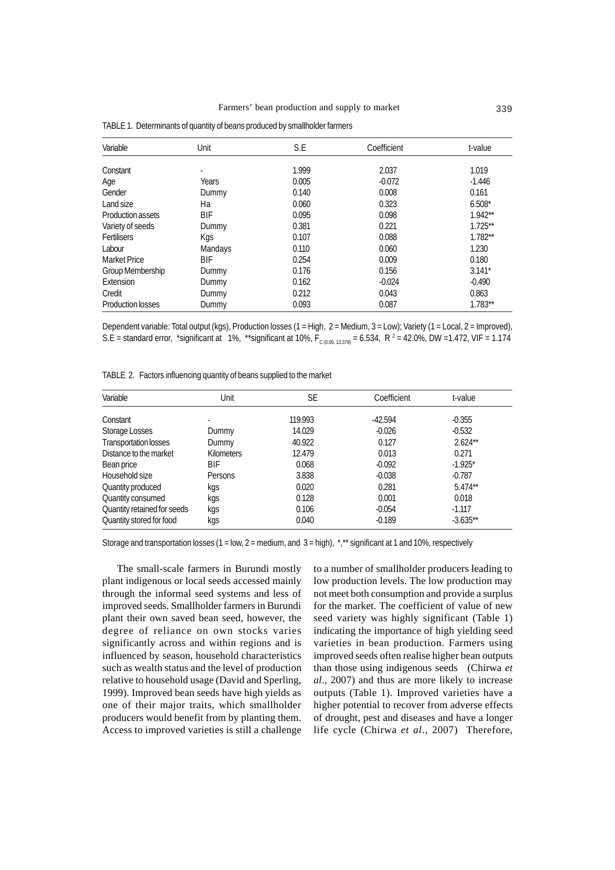| Variable           | Unit       | S.E   | Coefficient | t-value   |
|--------------------|------------|-------|-------------|-----------|
| Constant           |            | 1.999 | 2.037       | 1.019     |
|                    | ٠          |       |             |           |
| Age                | Years      | 0.005 | $-0.072$    | $-1.446$  |
| Gender             | Dummy      | 0.140 | 0.008       | 0.161     |
| Land size          | Hа         | 0.060 | 0.323       | $6.508*$  |
| Production assets  | <b>BIF</b> | 0.095 | 0.098       | $1.942**$ |
| Variety of seeds   | Dummy      | 0.381 | 0.221       | $1.725**$ |
| <b>Fertilisers</b> | Kgs        | 0.107 | 0.088       | $1.782**$ |
| Labour             | Mandays    | 0.110 | 0.060       | 1.230     |
| Market Price       | BIF        | 0.254 | 0.009       | 0.180     |
| Group Membership   | Dummy      | 0.176 | 0.156       | $3.141*$  |
| Extension          | Dummy      | 0.162 | $-0.024$    | $-0.490$  |
| Credit             | Dummy      | 0.212 | 0.043       | 0.863     |
| Production losses  | Dummy      | 0.093 | 0.087       | $1.783**$ |

TABLE 1. Determinants of quantity of beans produced by smallholder farmers

Dependent variable: Total output (kgs), Production losses (1 = High, 2 = Medium, 3 = Low); Variety (1 = Local, 2 = Improved), S.E = standard error, \*significant at 1%, \*\*significant at 10%, F<sub>c (0.05, 13,379)</sub> = 6.534, R <sup>2</sup> = 42.0%, DW =1.472, VIF = 1.174

| TABLE 2. Factors influencing quantity of beans supplied to the market |  |
|-----------------------------------------------------------------------|--|
|-----------------------------------------------------------------------|--|

| Variable                     | Unit              | SE      | Coefficient | t-value    |
|------------------------------|-------------------|---------|-------------|------------|
| Constant                     |                   | 119.993 | $-42.594$   | $-0.355$   |
| Storage Losses               | Dummy             | 14.029  | $-0.026$    | $-0.532$   |
| <b>Transportation losses</b> | Dummy             | 40.922  | 0.127       | $2.624**$  |
| Distance to the market       | <b>Kilometers</b> | 12.479  | 0.013       | 0.271      |
| Bean price                   | BIF               | 0.068   | $-0.092$    | $-1.925*$  |
| Household size               | Persons           | 3.838   | $-0.038$    | $-0.787$   |
| Quantity produced            | kgs               | 0.020   | 0.281       | $5.474**$  |
| Quantity consumed            | kgs               | 0.128   | 0.001       | 0.018      |
| Quantity retained for seeds  | kgs               | 0.106   | $-0.054$    | $-1.117$   |
| Quantity stored for food     | kgs               | 0.040   | $-0.189$    | $-3.635**$ |

Storage and transportation losses (1 = low, 2 = medium, and 3 = high), \*,\*\* significant at 1 and 10%, respectively

The small-scale farmers in Burundi mostly plant indigenous or local seeds accessed mainly through the informal seed systems and less of improved seeds. Smallholder farmers in Burundi plant their own saved bean seed, however, the degree of reliance on own stocks varies significantly across and within regions and is influenced by season, household characteristics such as wealth status and the level of production relative to household usage (David and Sperling, 1999). Improved bean seeds have high yields as one of their major traits, which smallholder producers would benefit from by planting them. Access to improved varieties is still a challenge

to a number of smallholder producers leading to low production levels. The low production may not meet both consumption and provide a surplus for the market. The coefficient of value of new seed variety was highly significant (Table 1) indicating the importance of high yielding seed varieties in bean production. Farmers using improved seeds often realise higher bean outputs than those using indigenous seeds (Chirwa *et al*., 2007) and thus are more likely to increase outputs (Table 1). Improved varieties have a higher potential to recover from adverse effects of drought, pest and diseases and have a longer life cycle (Chirwa *et al*., 2007) Therefore,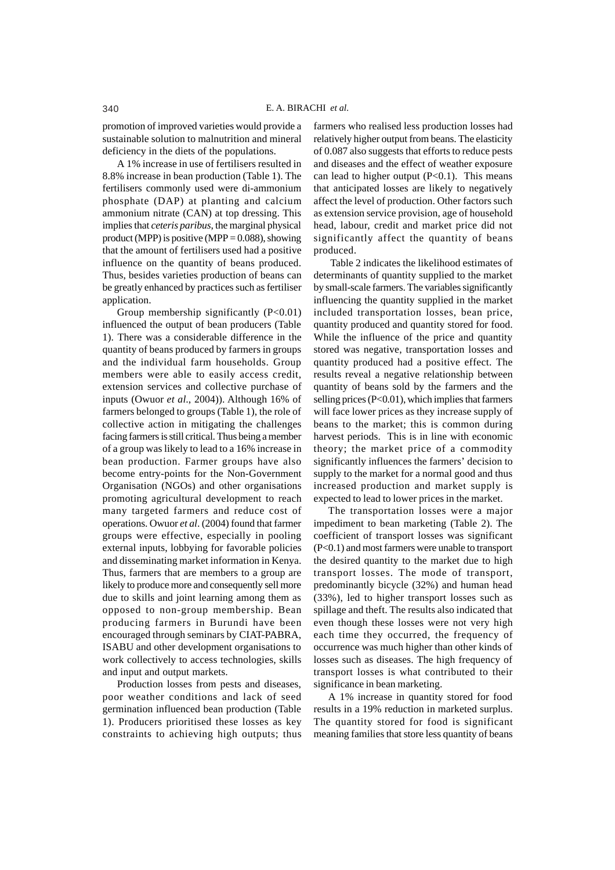promotion of improved varieties would provide a sustainable solution to malnutrition and mineral deficiency in the diets of the populations.

A 1% increase in use of fertilisers resulted in 8.8% increase in bean production (Table 1). The fertilisers commonly used were di-ammonium phosphate (DAP) at planting and calcium ammonium nitrate (CAN) at top dressing. This implies that *ceteris paribus*, the marginal physical product (MPP) is positive (MPP =  $0.088$ ), showing that the amount of fertilisers used had a positive influence on the quantity of beans produced. Thus, besides varieties production of beans can be greatly enhanced by practices such as fertiliser application.

Group membership significantly  $(P<0.01)$ influenced the output of bean producers (Table 1). There was a considerable difference in the quantity of beans produced by farmers in groups and the individual farm households. Group members were able to easily access credit, extension services and collective purchase of inputs (Owuor *et al*., 2004)). Although 16% of farmers belonged to groups (Table 1), the role of collective action in mitigating the challenges facing farmers is still critical. Thus being a member of a group was likely to lead to a 16% increase in bean production. Farmer groups have also become entry-points for the Non-Government Organisation (NGOs) and other organisations promoting agricultural development to reach many targeted farmers and reduce cost of operations. Owuor *et al*. (2004) found that farmer groups were effective, especially in pooling external inputs, lobbying for favorable policies and disseminating market information in Kenya. Thus, farmers that are members to a group are likely to produce more and consequently sell more due to skills and joint learning among them as opposed to non-group membership. Bean producing farmers in Burundi have been encouraged through seminars by CIAT-PABRA, ISABU and other development organisations to work collectively to access technologies, skills and input and output markets.

Production losses from pests and diseases, poor weather conditions and lack of seed germination influenced bean production (Table 1). Producers prioritised these losses as key constraints to achieving high outputs; thus farmers who realised less production losses had relatively higher output from beans. The elasticity of 0.087 also suggests that efforts to reduce pests and diseases and the effect of weather exposure can lead to higher output  $(P<0.1)$ . This means that anticipated losses are likely to negatively affect the level of production. Other factors such as extension service provision, age of household head, labour, credit and market price did not significantly affect the quantity of beans produced.

 Table 2 indicates the likelihood estimates of determinants of quantity supplied to the market by small-scale farmers. The variables significantly influencing the quantity supplied in the market included transportation losses, bean price, quantity produced and quantity stored for food. While the influence of the price and quantity stored was negative, transportation losses and quantity produced had a positive effect. The results reveal a negative relationship between quantity of beans sold by the farmers and the selling prices (P<0.01), which implies that farmers will face lower prices as they increase supply of beans to the market; this is common during harvest periods. This is in line with economic theory; the market price of a commodity significantly influences the farmers' decision to supply to the market for a normal good and thus increased production and market supply is expected to lead to lower prices in the market.

The transportation losses were a major impediment to bean marketing (Table 2). The coefficient of transport losses was significant (P<0.1) and most farmers were unable to transport the desired quantity to the market due to high transport losses. The mode of transport, predominantly bicycle (32%) and human head (33%), led to higher transport losses such as spillage and theft. The results also indicated that even though these losses were not very high each time they occurred, the frequency of occurrence was much higher than other kinds of losses such as diseases. The high frequency of transport losses is what contributed to their significance in bean marketing.

A 1% increase in quantity stored for food results in a 19% reduction in marketed surplus. The quantity stored for food is significant meaning families that store less quantity of beans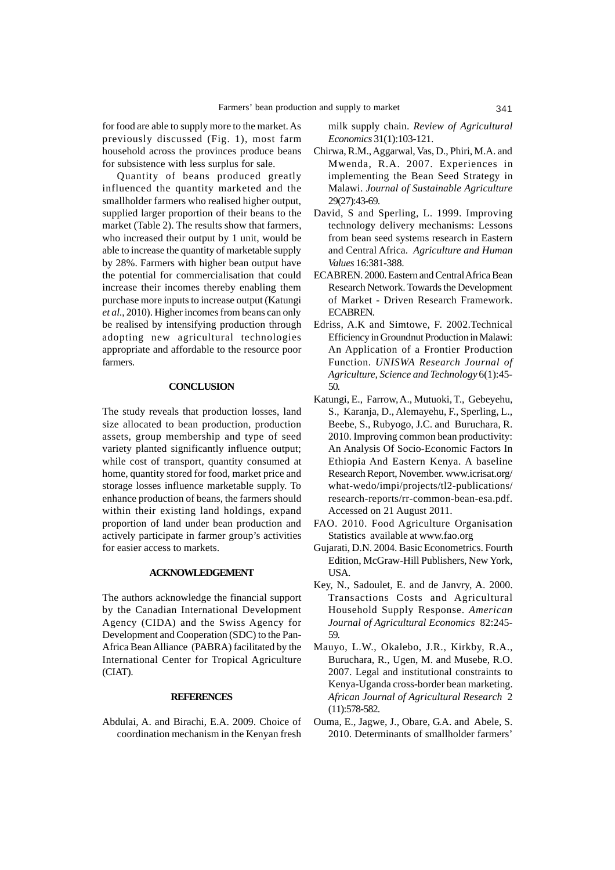for food are able to supply more to the market. As previously discussed (Fig. 1), most farm household across the provinces produce beans for subsistence with less surplus for sale.

Quantity of beans produced greatly influenced the quantity marketed and the smallholder farmers who realised higher output, supplied larger proportion of their beans to the market (Table 2). The results show that farmers, who increased their output by 1 unit, would be able to increase the quantity of marketable supply by 28%. Farmers with higher bean output have the potential for commercialisation that could increase their incomes thereby enabling them purchase more inputs to increase output (Katungi *et al*., 2010). Higher incomes from beans can only be realised by intensifying production through adopting new agricultural technologies appropriate and affordable to the resource poor farmers.

### **CONCLUSION**

The study reveals that production losses, land size allocated to bean production, production assets, group membership and type of seed variety planted significantly influence output; while cost of transport, quantity consumed at home, quantity stored for food, market price and storage losses influence marketable supply. To enhance production of beans, the farmers should within their existing land holdings, expand proportion of land under bean production and actively participate in farmer group's activities for easier access to markets.

### **ACKNOWLEDGEMENT**

The authors acknowledge the financial support by the Canadian International Development Agency (CIDA) and the Swiss Agency for Development and Cooperation (SDC) to the Pan-Africa Bean Alliance (PABRA) facilitated by the International Center for Tropical Agriculture (CIAT).

### **REFERENCES**

Abdulai, A. and Birachi, E.A. 2009. Choice of coordination mechanism in the Kenyan fresh

milk supply chain. *Review of Agricultural Economics* 31(1):103-121.

- Chirwa, R.M., Aggarwal, Vas, D., Phiri, M.A. and Mwenda, R.A. 2007. Experiences in implementing the Bean Seed Strategy in Malawi. *Journal of Sustainable Agriculture* 29(27):43-69.
- David, S and Sperling, L. 1999. Improving technology delivery mechanisms: Lessons from bean seed systems research in Eastern and Central Africa. *Agriculture and Human Values* 16:381-388.
- ECABREN. 2000. Eastern and Central Africa Bean Research Network. Towards the Development of Market - Driven Research Framework. ECABREN.
- Edriss, A.K and Simtowe, F. 2002.Technical Efficiency in Groundnut Production in Malawi: An Application of a Frontier Production Function. *UNISWA Research Journal of Agriculture, Science and Technology* 6(1):45- 50.
- Katungi, E., Farrow, A., Mutuoki, T., Gebeyehu, S., Karanja, D., Alemayehu, F., Sperling, L., Beebe, S., Rubyogo, J.C. and Buruchara, R. 2010. Improving common bean productivity: An Analysis Of Socio-Economic Factors In Ethiopia And Eastern Kenya. A baseline Research Report, November. www.icrisat.org/ what-wedo/impi/projects/tl2-publications/ research-reports/rr-common-bean-esa.pdf. Accessed on 21 August 2011.
- FAO. 2010. Food Agriculture Organisation Statistics available at www.fao.org
- Gujarati, D.N. 2004. Basic Econometrics. Fourth Edition, McGraw-Hill Publishers, New York, USA.
- Key, N., Sadoulet, E. and de Janvry, A. 2000. Transactions Costs and Agricultural Household Supply Response. *American Journal of Agricultural Economics* 82:245- 59.
- Mauyo, L.W., Okalebo, J.R., Kirkby, R.A., Buruchara, R., Ugen, M. and Musebe, R.O. 2007. Legal and institutional constraints to Kenya-Uganda cross-border bean marketing. *African Journal of Agricultural Research* 2 (11):578-582.
- Ouma, E., Jagwe, J., Obare, G.A. and Abele, S. 2010. Determinants of smallholder farmers'